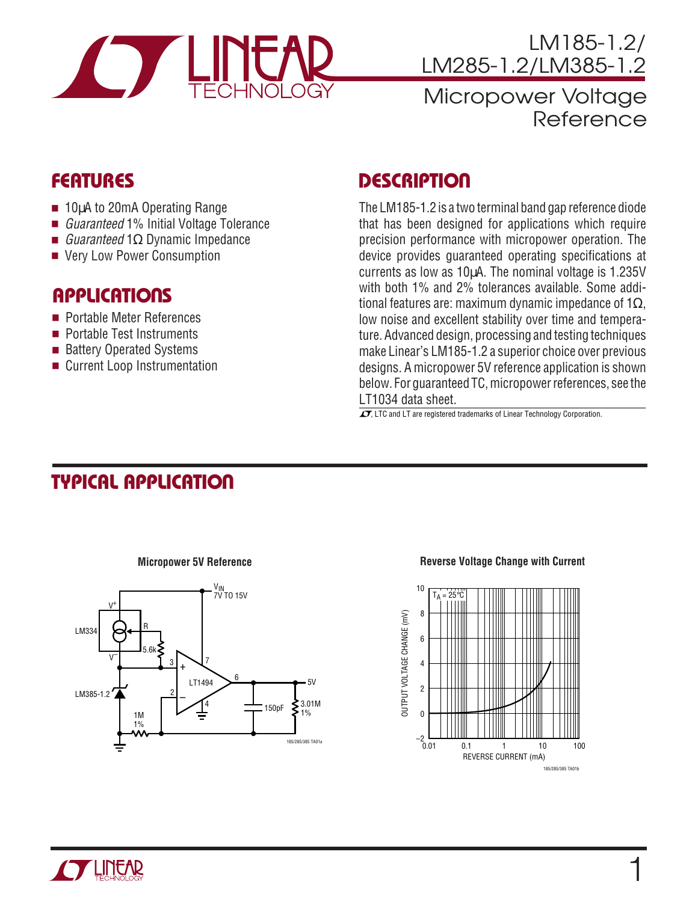

LM185-1.2/ LM285-1.2/LM385-1.2

# Micropower Voltage Reference

- 10µA to 20mA Operating Range
- *Guaranteed* 1% Initial Voltage Tolerance
- *Guaranteed* 1Ω Dynamic Impedance
- Very Low Power Consumption

#### **APPLICATIONS**

- Portable Meter References
- Portable Test Instruments
- Battery Operated Systems
- Current Loop Instrumentation

# **FEATURES DESCRIPTIO U**

The LM185-1.2 is a two terminal band gap reference diode that has been designed for applications which require precision performance with micropower operation. The device provides guaranteed operating specifications at currents as low as 10µA. The nominal voltage is 1.235V with both 1% and 2% tolerances available. Some additional features are: maximum dynamic impedance of 1Ω, low noise and excellent stability over time and temperature. Advanced design, processing and testing techniques make Linear's LM185-1.2 a superior choice over previous designs. A micropower 5V reference application is shown below. For guaranteed TC, micropower references, see the LT1034 data sheet.

 $\overline{\mathcal{L}\mathcal{I}}$ , LTC and LT are registered trademarks of Linear Technology Corporation.

# **TYPICAL APPLICATION**



#### **Micropower 5V Reference**

#### **Reverse Voltage Change with Current**



1

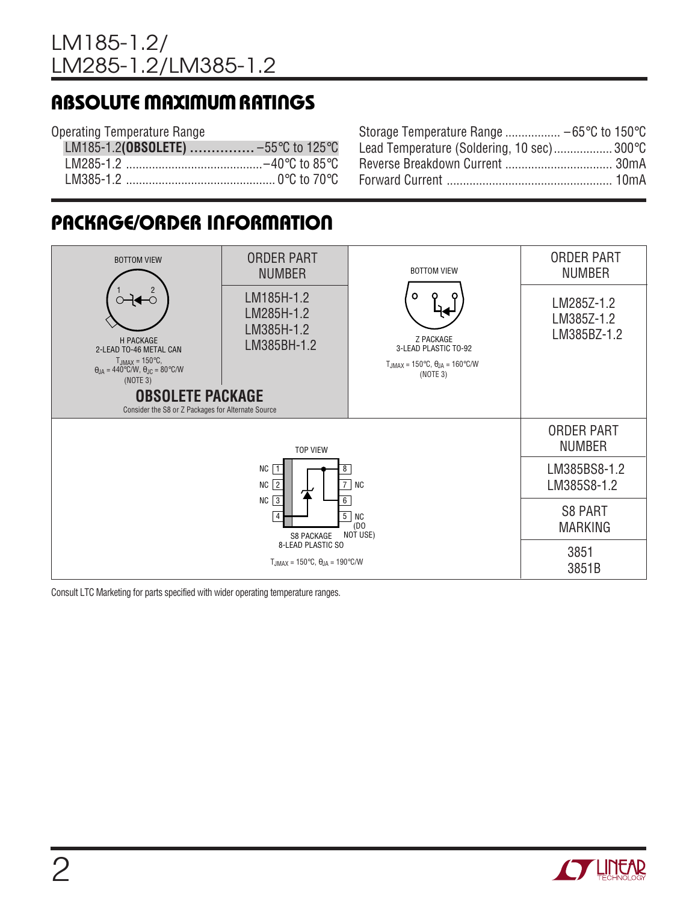## **ABSOLUTE MAXIMUM RATINGS**

#### Operating Temperature Range

| LM185-1.2(OBSOLETE)  -55°C to 125°C |  |
|-------------------------------------|--|
|                                     |  |
|                                     |  |

| Storage Temperature Range  −65°C to 150°C  |
|--------------------------------------------|
| Lead Temperature (Soldering, 10 sec) 300°C |
|                                            |
|                                            |
|                                            |

# **PACKAGE/ORDER INFORMATION**



Consult LTC Marketing for parts specified with wider operating temperature ranges.

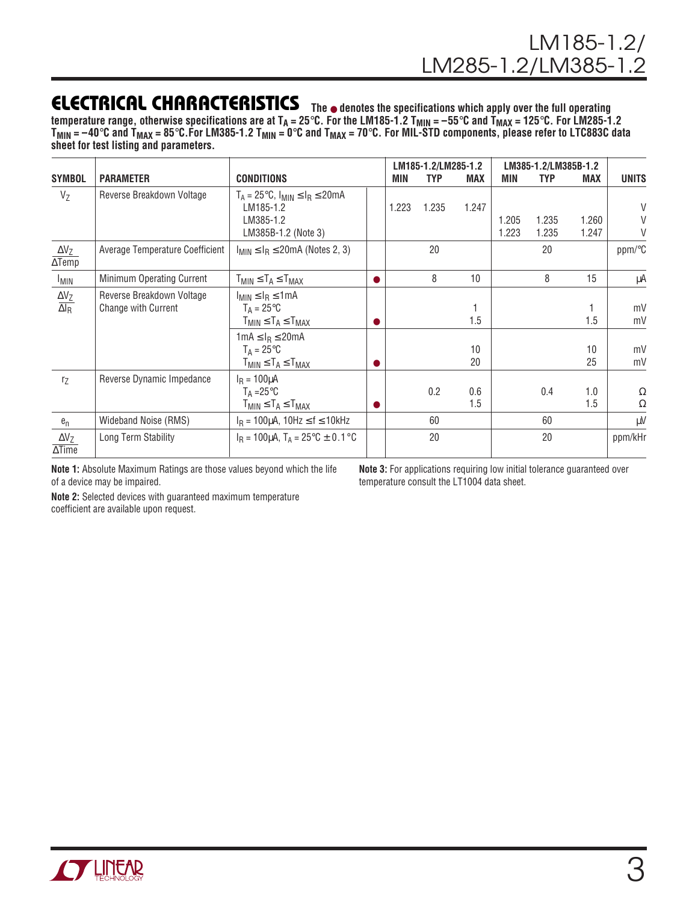### **ELECTRICAL CHARACTERISTICS The** ● **denotes the specifications which apply over the full operating**

temperature range, otherwise specifications are at T<sub>A</sub> = 25°C. For the LM185-1.2 T<sub>MIN</sub> = –55°C and T<sub>MAX</sub> = 125°C. For LM285-1.2 **TMIN = –40**°**C and TMAX = 85**°**C.For LM385-1.2 TMIN = 0**°**C and TMAX = 70**°**C. For MIL-STD components, please refer to LTC883C data sheet for test listing and parameters.**

|                                                 |                                                  |                                                                                                     |  | LM185-1.2/LM285-1.2 |            |            | LM385-1.2/LM385B-1.2 |                |                |                  |
|-------------------------------------------------|--------------------------------------------------|-----------------------------------------------------------------------------------------------------|--|---------------------|------------|------------|----------------------|----------------|----------------|------------------|
| <b>SYMBOL</b>                                   | <b>PARAMETER</b>                                 | <b>CONDITIONS</b>                                                                                   |  | MIN                 | <b>TYP</b> | <b>MAX</b> | MIN                  | <b>TYP</b>     | <b>MAX</b>     | <b>UNITS</b>     |
| $V_{Z}$                                         | Reverse Breakdown Voltage                        | $T_A = 25^{\circ}C$ , $I_{MIN} \leq I_R \leq 20mA$<br>LM185-1.2<br>LM385-1.2<br>LM385B-1.2 (Note 3) |  | 1.223               | 1.235      | 1.247      | 1.205<br>1.223       | 1.235<br>1.235 | 1.260<br>1.247 | $\vee$<br>V<br>V |
| $\Delta V_Z$<br>$\overline{\Delta \text{Temp}}$ | Average Temperature Coefficient                  | $I_{MIN} \leq I_R \leq 20$ mA (Notes 2, 3)                                                          |  |                     | 20         |            |                      | 20             |                | ppm/°C           |
| <b>I<sub>MIN</sub></b>                          | Minimum Operating Current                        | $T_{MIN} \leq T_A \leq T_{MAX}$                                                                     |  |                     | 8          | 10         |                      | 8              | 15             | μA               |
| $\frac{\Delta V_Z}{\Delta I_R}$                 | Reverse Breakdown Voltage<br>Change with Current | $I_{MIN} \leq I_R \leq 1mA$<br>$T_A = 25^{\circ}C$<br>$T_{MIN} \leq T_A \leq T_{MAX}$               |  |                     |            | 1.5        |                      |                | 1.5            | mV<br>mV         |
|                                                 |                                                  | $1 \text{mA} \leq I_R \leq 20 \text{mA}$<br>$T_A = 25^{\circ}C$<br>$T_{MIN} \leq T_A \leq T_{MAX}$  |  |                     |            | 10<br>20   |                      |                | 10<br>25       | mV<br>mV         |
| r <sub>Z</sub>                                  | Reverse Dynamic Impedance                        | $I_R = 100 \mu A$<br>$T_A = 25^{\circ}C$<br>$T_{MIN} \leq T_A \leq T_{MAX}$                         |  |                     | 0.2        | 0.6<br>1.5 |                      | 0.4            | 1.0<br>1.5     | Ω<br>Ω           |
| $e_n$                                           | Wideband Noise (RMS)                             | $I_R = 100 \mu A$ , 10Hz $\leq f \leq 10$ kHz                                                       |  |                     | 60         |            |                      | 60             |                | μV               |
| $\Delta V_Z$<br>$\Delta$ Time                   | Long Term Stability                              | $I_R = 100 \mu A$ , $T_A = 25^{\circ}C \pm 0.1^{\circ}C$                                            |  |                     | 20         |            |                      | 20             |                | ppm/kHr          |

**Note 1:** Absolute Maximum Ratings are those values beyond which the life of a device may be impaired.

**Note 3:** For applications requiring low initial tolerance guaranteed over temperature consult the LT1004 data sheet.

**Note 2:** Selected devices with guaranteed maximum temperature coefficient are available upon request.

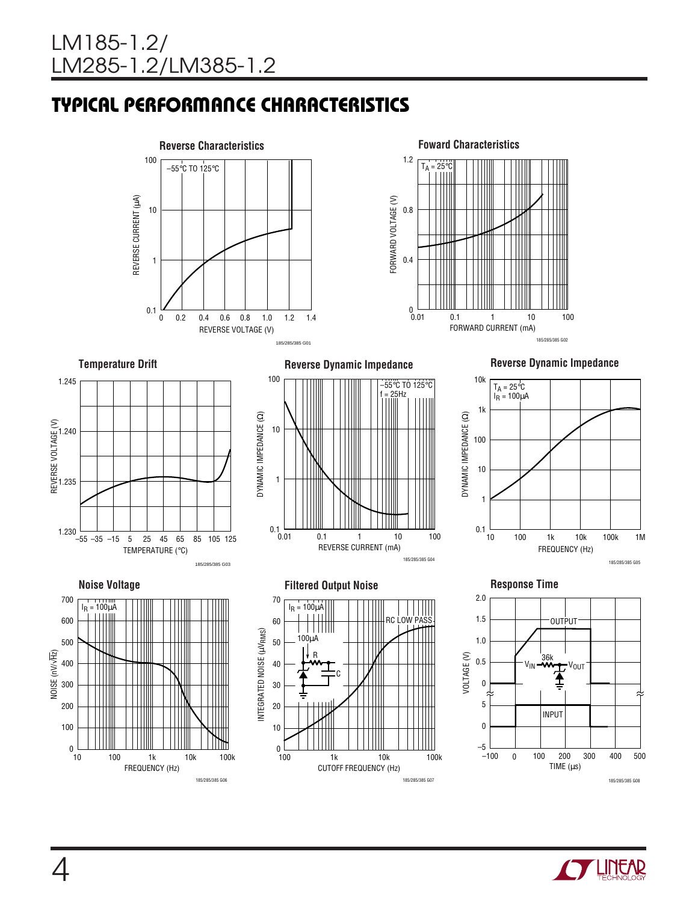# **TYPICAL PERFORMANCE CHARACTERISTICS**











FORWARD VOLTAGE (V)

FORWARD VOLTAGE (V)

1.2

 $T_A = 25\degree C$ 

0.8

0.4

 $0.01$ 



185/285/385 G02

FORWARD CURRENT (mA)

0.01 1 10 100

0.1











FREQUENCY (Hz)

185/285/385 G06

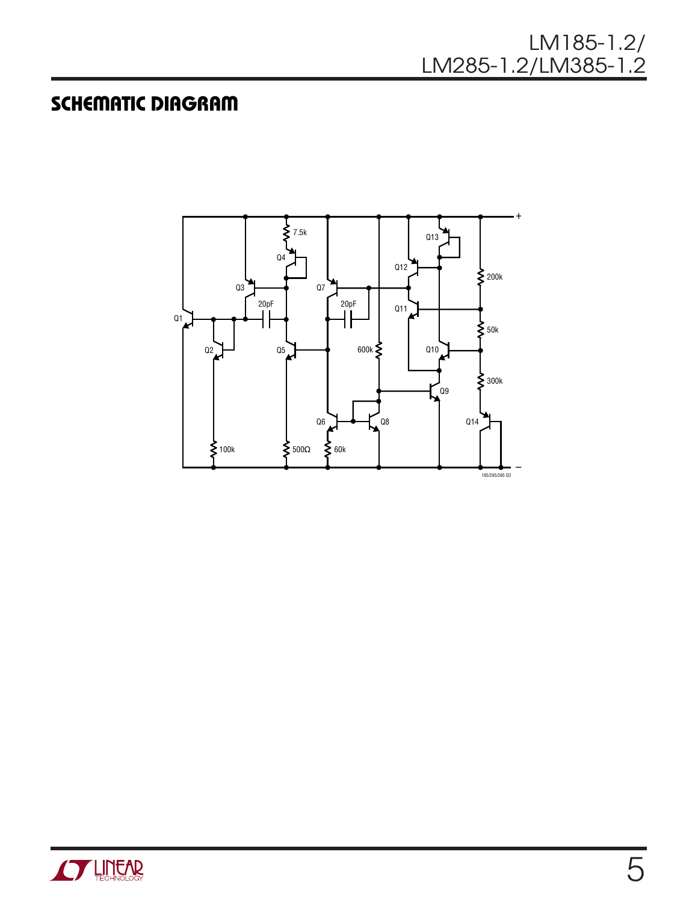#### LM185-1.2/ LM285-1.2/LM385-1.2

## **SCHEMATIC DIAGRAM**



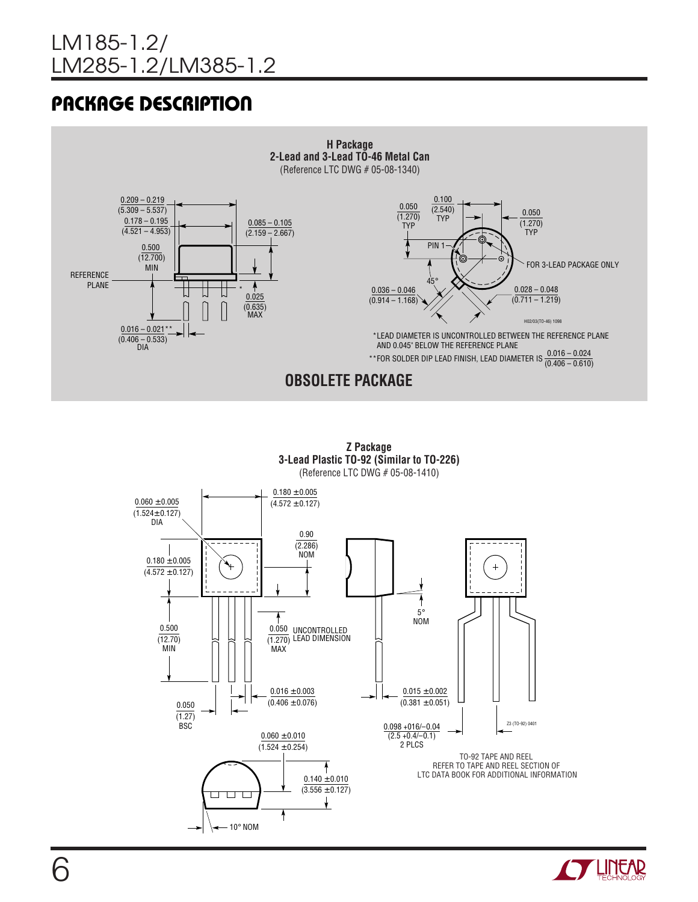# **PACKAGE DESCRIPTION**





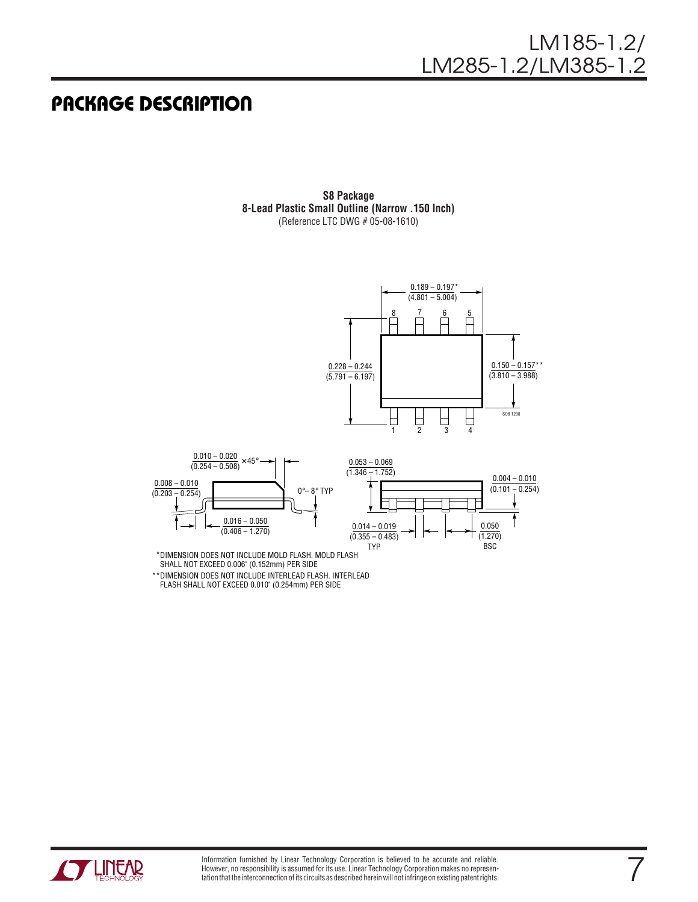#### **PACKAGE DESCRIPTION**

**S8 Package 8-Lead Plastic Small Outline (Narrow .150 Inch)** (Reference LTC DWG # 05-08-1610)



DIMENSION DOES NOT INCLUDE MOLD FLASH. MOLD FLASH \* SHALL NOT EXCEED 0.006" (0.152mm) PER SIDE \*\*DIMENSION DOES NOT INCLUDE INTERLEAD FLASH. INTERLEAD FLASH SHALL NOT EXCEED 0.010" (0.254mm) PER SIDE